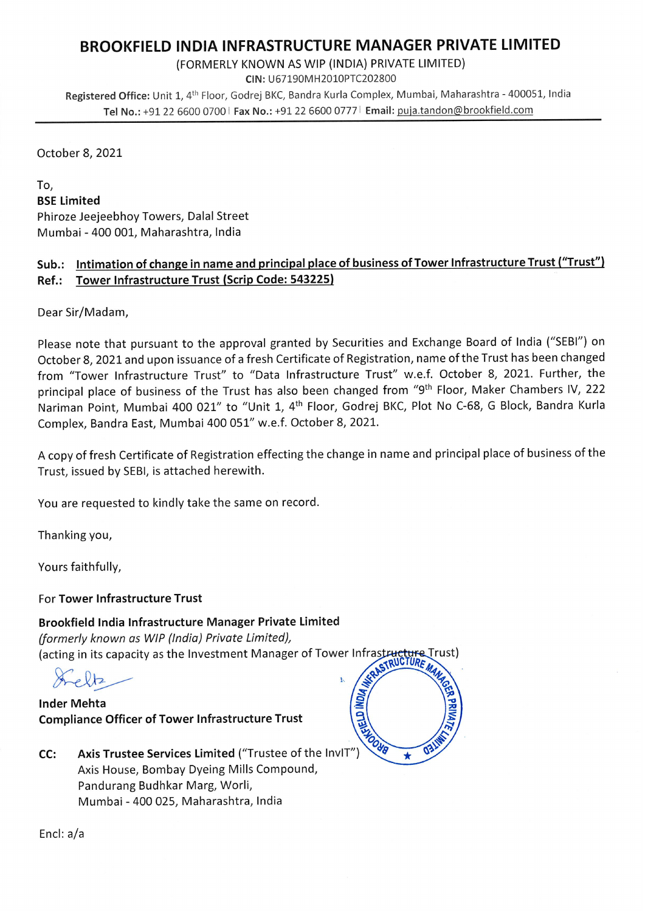## BROOKFIELD INDIA INFRASTRUCTURE MANAGER PRIVATE LIMITED

(FORMERLY KNOWN AS WIP (INDIA) PRIVATE LIMITED)

CIN: U67190MH2010PTC202800

Registered Office: Unit 1, 4th Floor, Godrej BKC, Bandra Kurla Complex, Mumbai, Maharashtra - 400051, India Tel No.: +91 22 6600 0700 | Fax No.: +91 22 6600 0777 | Email: puja.tandon@brookfield.com

October 8, 2021

To,

BSE Limited Phiroze Jeejeebhoy Towers, Dalal Street Mumbai - 400 001, Maharashtra, India

## Sub.: Intimation of change in name and principal place of business of Tower Infrastructure Trust ("Trust") Ref.: Tower Infrastructure Trust (Scrip Code: 543225)

Dear Sir/Madam,

Please note that pursuant to the approval granted by Securities and Exchange Board of India ("SEBI") on October 8, 2021 and upon issuance of a fresh Certificate of Registration, name of the Trust has been changed from "Tower Infrastructure Trust" to "Data Infrastructure Trust" w.e.f. October 8, 2021. Further, the principal place of business of the Trust has also been changed from "9<sup>th</sup> Floor, Maker Chambers IV, 222 Nariman Point, Mumbai 400 021" to "Unit 1, 4th Floor, Godrej BKC, Plot No C-68, G Block, Bandra Kurla Complex, Bandra East, Mumbai 400 051" w.e.f. October 8, 2021.

A copy of fresh Certificate of Registration effecting the change in name and principal place of business of the Trust, issued by SEBI, is attached herewith.

You are requested to kindly take the same on record.

Thanking you,

Yours faithfully,

For Tower Infrastructure Trust

Brookfield India Infrastructure Manager Private Limited (formerly known as WIP (India) Private Limited), (acting in its capacity as the Investment Manager of Tower Infrastructure Trust)<br>Case of RUGTURE

Inder Mehta Inder Mehta<br>Compliance Officer of Tower Infrastructure Trust

CC: Axis Trustee Services Limited ("Trustee of the InvIT") Axis House, Bombay Dyeing Mills Compound, Pandurang Budhkar Marg, Worli, Mumbai - 400 025, Maharashtra, India



Encl: a/a